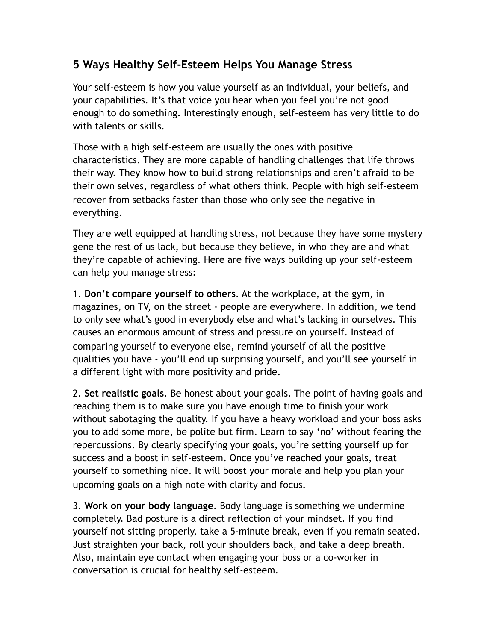## **5 Ways Healthy Self-Esteem Helps You Manage Stress**

Your self-esteem is how you value yourself as an individual, your beliefs, and your capabilities. It's that voice you hear when you feel you're not good enough to do something. Interestingly enough, self-esteem has very little to do with talents or skills.

Those with a high self-esteem are usually the ones with positive characteristics. They are more capable of handling challenges that life throws their way. They know how to build strong relationships and aren't afraid to be their own selves, regardless of what others think. People with high self-esteem recover from setbacks faster than those who only see the negative in everything.

They are well equipped at handling stress, not because they have some mystery gene the rest of us lack, but because they believe, in who they are and what they're capable of achieving. Here are five ways building up your self-esteem can help you manage stress:

1. **Don't compare yourself to others**. At the workplace, at the gym, in magazines, on TV, on the street - people are everywhere. In addition, we tend to only see what's good in everybody else and what's lacking in ourselves. This causes an enormous amount of stress and pressure on yourself. Instead of comparing yourself to everyone else, remind yourself of all the positive qualities you have - you'll end up surprising yourself, and you'll see yourself in a different light with more positivity and pride.

2. **Set realistic goals**. Be honest about your goals. The point of having goals and reaching them is to make sure you have enough time to finish your work without sabotaging the quality. If you have a heavy workload and your boss asks you to add some more, be polite but firm. Learn to say 'no' without fearing the repercussions. By clearly specifying your goals, you're setting yourself up for success and a boost in self-esteem. Once you've reached your goals, treat yourself to something nice. It will boost your morale and help you plan your upcoming goals on a high note with clarity and focus.

3. **Work on your body language**. Body language is something we undermine completely. Bad posture is a direct reflection of your mindset. If you find yourself not sitting properly, take a 5-minute break, even if you remain seated. Just straighten your back, roll your shoulders back, and take a deep breath. Also, maintain eye contact when engaging your boss or a co-worker in conversation is crucial for healthy self-esteem.